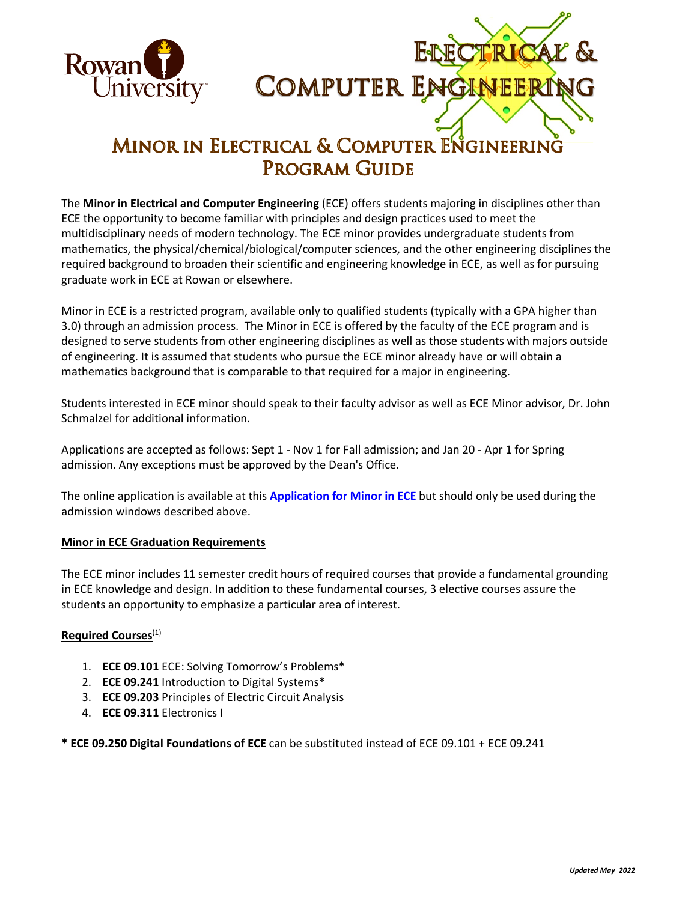



## MINOR IN ELECTRICAL & COMPUTER ENGINEERING **PROGRAM GUIDE**

The **Minor in Electrical and Computer Engineering** (ECE) offers students majoring in disciplines other than ECE the opportunity to become familiar with principles and design practices used to meet the multidisciplinary needs of modern technology. The ECE minor provides undergraduate students from mathematics, the physical/chemical/biological/computer sciences, and the other engineering disciplines the required background to broaden their scientific and engineering knowledge in ECE, as well as for pursuing graduate work in ECE at Rowan or elsewhere.

Minor in ECE is a restricted program, available only to qualified students (typically with a GPA higher than 3.0) through an admission process. The Minor in ECE is offered by the faculty of the ECE program and is designed to serve students from other engineering disciplines as well as those students with majors outside of engineering. It is assumed that students who pursue the ECE minor already have or will obtain a mathematics background that is comparable to that required for a major in engineering.

Students interested in ECE minor should speak to their faculty advisor as well as ECE Minor advisor, Dr. John Schmalzel for additional information.

Applications are accepted as follows: Sept 1 - Nov 1 for Fall admission; and Jan 20 - Apr 1 for Spring admission. Any exceptions must be approved by the Dean's Office.

The online application is available at this **[Application for Minor in ECE](https://engineering.rowan.edu/prospective_students/requestofminorform.php)** but should only be used during the admission windows described above.

## **Minor in ECE Graduation Requirements**

The ECE minor includes **11** semester credit hours of required courses that provide a fundamental grounding in ECE knowledge and design. In addition to these fundamental courses, 3 elective courses assure the students an opportunity to emphasize a particular area of interest.

## **Required Courses**(1)

- 1. **ECE 09.101** ECE: Solving Tomorrow's Problems\*
- 2. **ECE 09.241** Introduction to Digital Systems\*
- 3. **ECE 09.203** Principles of Electric Circuit Analysis
- 4. **ECE 09.311** Electronics I

**\* ECE 09.250 Digital Foundations of ECE** can be substituted instead of ECE 09.101 + ECE 09.241